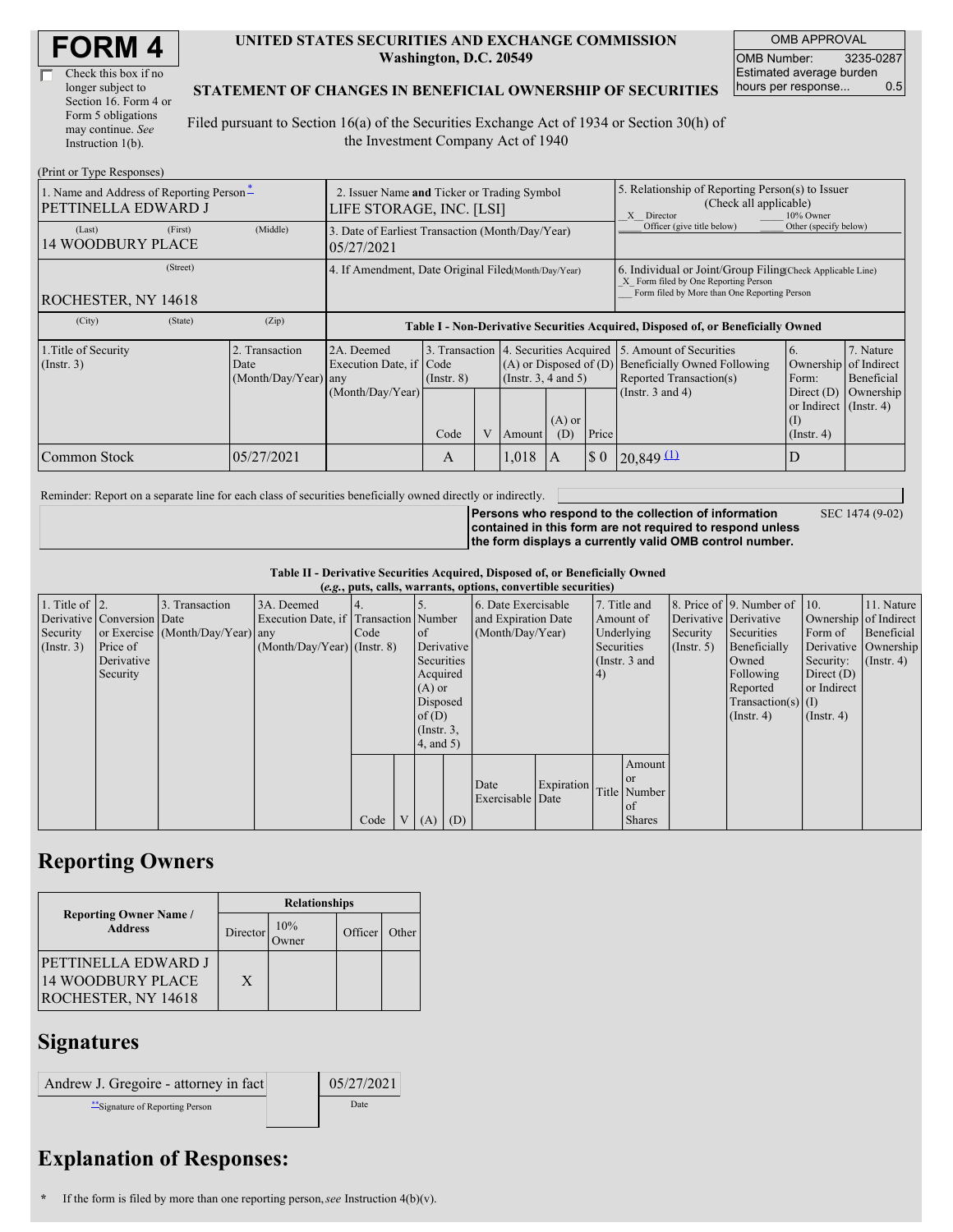| Check this box if no  |
|-----------------------|
| longer subject to     |
| Section 16. Form 4 or |
| Form 5 obligations    |
| may continue. See     |
| Instruction $1(b)$ .  |

#### **UNITED STATES SECURITIES AND EXCHANGE COMMISSION Washington, D.C. 20549**

OMB APPROVAL OMB Number: 3235-0287 Estimated average burden hours per response... 0.5

#### **STATEMENT OF CHANGES IN BENEFICIAL OWNERSHIP OF SECURITIES**

Filed pursuant to Section 16(a) of the Securities Exchange Act of 1934 or Section 30(h) of the Investment Company Act of 1940

| (Print or Type Responses)                                       |                                                                         |                                                  |                                                                                  |                 |  |                                                                                                  |                                                                                                                                                    |                             |                                                                                    |                                                                   |                                        |
|-----------------------------------------------------------------|-------------------------------------------------------------------------|--------------------------------------------------|----------------------------------------------------------------------------------|-----------------|--|--------------------------------------------------------------------------------------------------|----------------------------------------------------------------------------------------------------------------------------------------------------|-----------------------------|------------------------------------------------------------------------------------|-------------------------------------------------------------------|----------------------------------------|
| 1. Name and Address of Reporting Person-<br>PETTINELLA EDWARD J | 2. Issuer Name and Ticker or Trading Symbol<br>LIFE STORAGE, INC. [LSI] |                                                  |                                                                                  |                 |  |                                                                                                  | 5. Relationship of Reporting Person(s) to Issuer<br>(Check all applicable)<br>10% Owner<br>X Director                                              |                             |                                                                                    |                                                                   |                                        |
| (Last)<br><b>14 WOODBURY PLACE</b>                              | (First)                                                                 | (Middle)                                         | 3. Date of Earliest Transaction (Month/Day/Year)<br>05/27/2021                   |                 |  |                                                                                                  |                                                                                                                                                    |                             | Officer (give title below)                                                         | Other (specify below)                                             |                                        |
| ROCHESTER, NY 14618                                             | 4. If Amendment, Date Original Filed Month/Day/Year)                    |                                                  |                                                                                  |                 |  |                                                                                                  | 6. Individual or Joint/Group Filing Check Applicable Line)<br>X Form filed by One Reporting Person<br>Form filed by More than One Reporting Person |                             |                                                                                    |                                                                   |                                        |
| (City)                                                          | (State)                                                                 | (Zip)                                            | Table I - Non-Derivative Securities Acquired, Disposed of, or Beneficially Owned |                 |  |                                                                                                  |                                                                                                                                                    |                             |                                                                                    |                                                                   |                                        |
| 1. Title of Security<br>$($ Instr. 3 $)$                        |                                                                         | 2. Transaction<br>Date<br>$(Month/Day/Year)$ any | 2A. Deemed<br>Execution Date, if Code                                            | $($ Instr. $8)$ |  | 3. Transaction 4. Securities Acquired<br>$(A)$ or Disposed of $(D)$<br>$($ Instr. 3, 4 and 5 $)$ |                                                                                                                                                    |                             | 5. Amount of Securities<br>Beneficially Owned Following<br>Reported Transaction(s) | 6.<br>Ownership<br>Form:                                          | 7. Nature<br>of Indirect<br>Beneficial |
|                                                                 |                                                                         |                                                  | (Month/Day/Year)                                                                 | Code            |  | Amount                                                                                           | $(A)$ or<br>(D)                                                                                                                                    | Price                       | (Instr. $3$ and $4$ )                                                              | Direct $(D)$<br>or Indirect (Instr. 4)<br>(1)<br>$($ Instr. 4 $)$ | Ownership                              |
| Common Stock                                                    |                                                                         | 05/27/2021                                       |                                                                                  | A               |  | 1,018                                                                                            |                                                                                                                                                    | $\boldsymbol{\mathsf{S}}$ 0 | $20,849 \, \Omega$                                                                 | D                                                                 |                                        |

Reminder: Report on a separate line for each class of securities beneficially owned directly or indirectly.

**Persons who respond to the collection of information contained in this form are not required to respond unless the form displays a currently valid OMB control number.** SEC 1474 (9-02)

**Table II - Derivative Securities Acquired, Disposed of, or Beneficially Owned**

| (e.g., puts, calls, warrants, options, convertible securities) |                            |                                  |                                       |        |  |                 |     |                     |            |               |               |                       |                              |                       |                      |
|----------------------------------------------------------------|----------------------------|----------------------------------|---------------------------------------|--------|--|-----------------|-----|---------------------|------------|---------------|---------------|-----------------------|------------------------------|-----------------------|----------------------|
| 1. Title of $\vert$ 2.                                         |                            | 3. Transaction                   | 3A. Deemed                            |        |  |                 |     | 6. Date Exercisable |            | 7. Title and  |               |                       | 8. Price of 9. Number of 10. |                       | 11. Nature           |
|                                                                | Derivative Conversion Date |                                  | Execution Date, if Transaction Number |        |  |                 |     | and Expiration Date |            | Amount of     |               | Derivative Derivative |                              | Ownership of Indirect |                      |
| Security                                                       |                            | or Exercise (Month/Day/Year) any |                                       | I Code |  | <sub>of</sub>   |     | (Month/Day/Year)    |            |               | Underlying    | Security              | Securities                   | Form of               | Beneficial           |
| (Insert. 3)                                                    | Price of                   |                                  | $(Month/Day/Year)$ (Instr. 8)         |        |  | Derivative      |     |                     |            | Securities    |               | $($ Instr. 5 $)$      | Beneficially                 |                       | Derivative Ownership |
|                                                                | Derivative                 |                                  |                                       |        |  | Securities      |     |                     |            | (Instr. 3 and |               |                       | Owned                        | Security:             | $($ Instr. 4 $)$     |
|                                                                | Security                   |                                  |                                       |        |  | Acquired        |     |                     |            | 4)            |               |                       | Following                    | Direct $(D)$          |                      |
|                                                                |                            |                                  |                                       |        |  | $(A)$ or        |     |                     |            |               |               |                       | Reported                     | or Indirect           |                      |
|                                                                |                            |                                  |                                       |        |  | Disposed        |     |                     |            |               |               |                       | Transaction(s) $(I)$         |                       |                      |
|                                                                |                            |                                  |                                       |        |  | of $(D)$        |     |                     |            |               |               |                       | $($ Instr. 4 $)$             | $($ Instr. 4 $)$      |                      |
|                                                                |                            |                                  |                                       |        |  | $($ Instr. $3,$ |     |                     |            |               |               |                       |                              |                       |                      |
|                                                                |                            |                                  |                                       |        |  | $4$ , and 5)    |     |                     |            |               |               |                       |                              |                       |                      |
|                                                                |                            |                                  |                                       |        |  |                 |     |                     |            |               | Amount        |                       |                              |                       |                      |
|                                                                |                            |                                  |                                       |        |  |                 |     |                     |            |               | <b>or</b>     |                       |                              |                       |                      |
|                                                                |                            |                                  |                                       |        |  |                 |     | Date                | Expiration |               | Title Number  |                       |                              |                       |                      |
|                                                                |                            |                                  |                                       |        |  |                 |     | Exercisable Date    |            |               | of            |                       |                              |                       |                      |
|                                                                |                            |                                  |                                       | Code   |  | V(A)            | (D) |                     |            |               | <b>Shares</b> |                       |                              |                       |                      |

## **Reporting Owners**

|                                                                        | <b>Relationships</b> |              |         |       |  |  |  |  |
|------------------------------------------------------------------------|----------------------|--------------|---------|-------|--|--|--|--|
| <b>Reporting Owner Name /</b><br><b>Address</b>                        | <b>Director</b>      | 10%<br>)wner | Officer | Other |  |  |  |  |
| PETTINELLA EDWARD J<br><b>14 WOODBURY PLACE</b><br>ROCHESTER, NY 14618 | X                    |              |         |       |  |  |  |  |

### **Signatures**

| Andrew J. Gregoire - attorney in fact | 05/27/2021 |
|---------------------------------------|------------|
| **Signature of Reporting Person       | Date       |

# **Explanation of Responses:**

**<sup>\*</sup>** If the form is filed by more than one reporting person,*see* Instruction 4(b)(v).